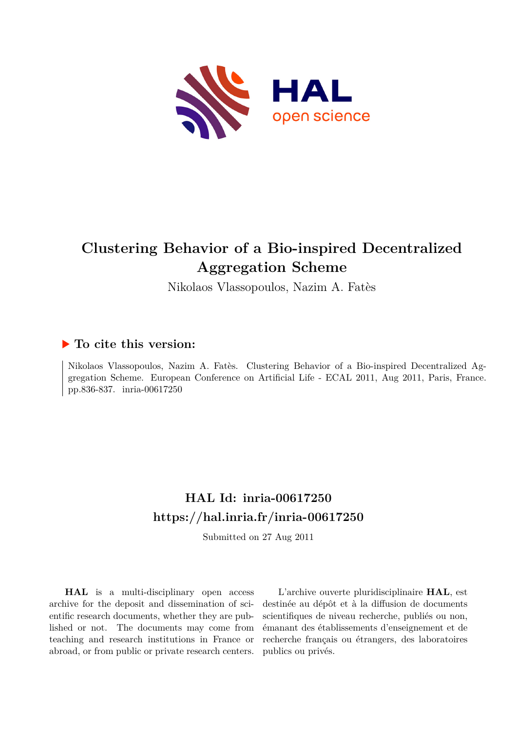

# **Clustering Behavior of a Bio-inspired Decentralized Aggregation Scheme**

Nikolaos Vlassopoulos, Nazim A. Fatès

## **To cite this version:**

Nikolaos Vlassopoulos, Nazim A. Fatès. Clustering Behavior of a Bio-inspired Decentralized Aggregation Scheme. European Conference on Artificial Life - ECAL 2011, Aug 2011, Paris, France. pp.836-837. inria-00617250

## **HAL Id: inria-00617250 <https://hal.inria.fr/inria-00617250>**

Submitted on 27 Aug 2011

**HAL** is a multi-disciplinary open access archive for the deposit and dissemination of scientific research documents, whether they are published or not. The documents may come from teaching and research institutions in France or abroad, or from public or private research centers.

L'archive ouverte pluridisciplinaire **HAL**, est destinée au dépôt et à la diffusion de documents scientifiques de niveau recherche, publiés ou non, émanant des établissements d'enseignement et de recherche français ou étrangers, des laboratoires publics ou privés.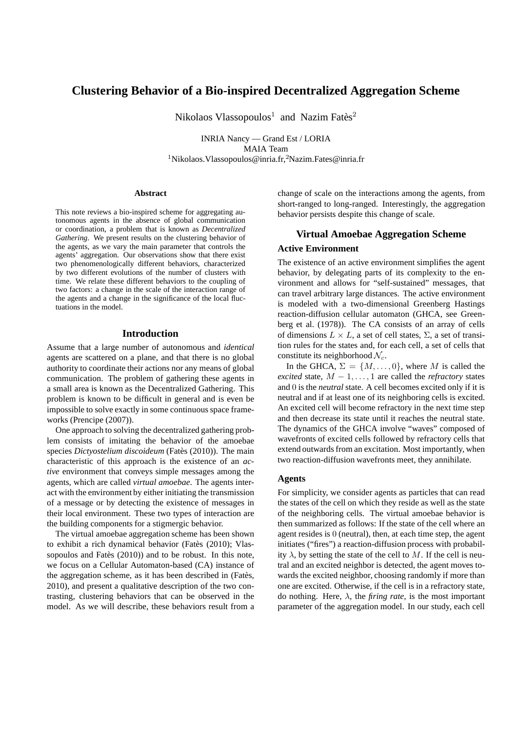## **Clustering Behavior of a Bio-inspired Decentralized Aggregation Scheme**

Nikolaos Vlassopoulos<sup>1</sup> and Nazim Fatès<sup>2</sup>

INRIA Nancy — Grand Est / LORIA MAIA Team <sup>1</sup>Nikolaos. Vlassopoulos@inria.fr,<sup>2</sup>Nazim. Fates@inria.fr

#### **Abstract**

This note reviews a bio-inspired scheme for aggregating autonomous agents in the absence of global communication or coordination, a problem that is known as *Decentralized Gathering*. We present results on the clustering behavior of the agents, as we vary the main parameter that controls the agents' aggregation. Our observations show that there exist two phenomenologically different behaviors, characterized by two different evolutions of the number of clusters with time. We relate these different behaviors to the coupling of two factors: a change in the scale of the interaction range of the agents and a change in the significance of the local fluctuations in the model.

#### **Introduction**

Assume that a large number of autonomous and *identical* agents are scattered on a plane, and that there is no global authority to coordinate their actions nor any means of global communication. The problem of gathering these agents in a small area is known as the Decentralized Gathering. This problem is known to be difficult in general and is even be impossible to solve exactly in some continuous space frameworks (Prencipe (2007)).

One approach to solving the decentralized gathering problem consists of imitating the behavior of the amoebae species *Dictyostelium discoideum* (Fatès (2010)). The main characteristic of this approach is the existence of an *active* environment that conveys simple messages among the agents, which are called *virtual amoebae*. The agents interact with the environment by either initiating the transmission of a message or by detecting the existence of messages in their local environment. These two types of interaction are the building components for a stigmergic behavior.

The virtual amoebae aggregation scheme has been shown to exhibit a rich dynamical behavior (Fatès (2010); Vlassopoulos and Fatès (2010)) and to be robust. In this note, we focus on a Cellular Automaton-based (CA) instance of the aggregation scheme, as it has been described in (Fates, 2010), and present a qualitative description of the two contrasting, clustering behaviors that can be observed in the model. As we will describe, these behaviors result from a change of scale on the interactions among the agents, from short-ranged to long-ranged. Interestingly, the aggregation behavior persists despite this change of scale.

## **Virtual Amoebae Aggregation Scheme Active Environment**

The existence of an active environment simplifies the agent behavior, by delegating parts of its complexity to the environment and allows for "self-sustained" messages, that can travel arbitrary large distances. The active environment is modeled with a two-dimensional Greenberg Hastings reaction-diffusion cellular automaton (GHCA, see Greenberg et al. (1978)). The CA consists of an array of cells of dimensions  $L \times L$ , a set of cell states,  $\Sigma$ , a set of transition rules for the states and, for each cell, a set of cells that constitute its neighborhood  $\mathcal{N}_c$ .

In the GHCA,  $\Sigma = \{M, \ldots, 0\}$ , where M is called the *excited* state,  $M - 1, \ldots, 1$  are called the *refractory* states and 0 is the *neutral* state. A cell becomes excited only if it is neutral and if at least one of its neighboring cells is excited. An excited cell will become refractory in the next time step and then decrease its state until it reaches the neutral state. The dynamics of the GHCA involve "waves" composed of wavefronts of excited cells followed by refractory cells that extend outwards from an excitation. Most importantly, when two reaction-diffusion wavefronts meet, they annihilate.

### **Agents**

For simplicity, we consider agents as particles that can read the states of the cell on which they reside as well as the state of the neighboring cells. The virtual amoebae behavior is then summarized as follows: If the state of the cell where an agent resides is 0 (neutral), then, at each time step, the agent initiates ("fires") a reaction-diffusion process with probability  $\lambda$ , by setting the state of the cell to M. If the cell is neutral and an excited neighbor is detected, the agent moves towards the excited neighbor, choosing randomly if more than one are excited. Otherwise, if the cell is in a refractory state, do nothing. Here,  $\lambda$ , the *firing rate*, is the most important parameter of the aggregation model. In our study, each cell